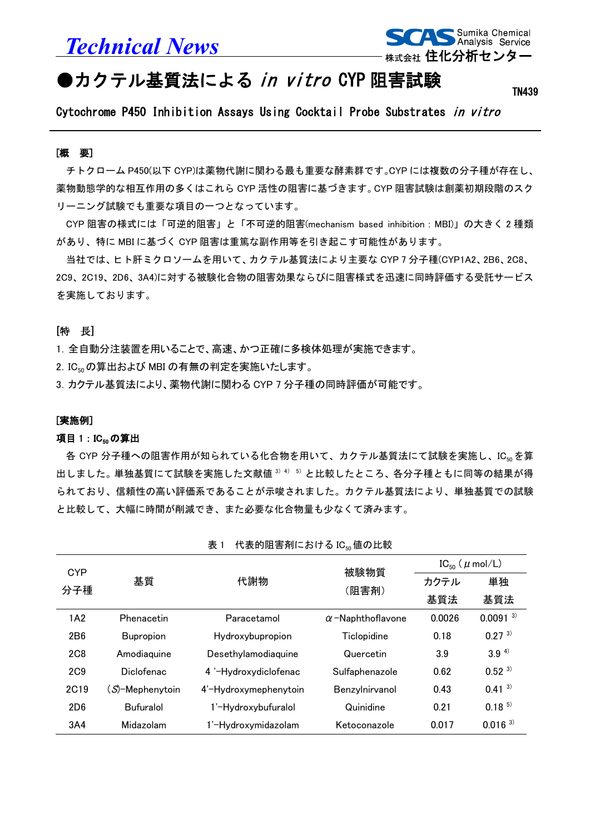*Technical News*



# ●カクテル基質法による in vitro CYP 阻害試験

TN439

Cytochrome P450 Inhibition Assays Using Cocktail Probe Substrates in vitro

#### [概 要]

L

チトクローム P450(以下 CYP)は薬物代謝に関わる最も重要な酵素群です。CYP には複数の分子種が存在し、 薬物動態学的な相互作用の多くはこれら CYP 活性の阻害に基づきます。CYP 阻害試験は創薬初期段階のスク リーニング試験でも重要な項目の一つとなっています。

CYP 阻害の様式には「可逆的阻害」と「不可逆的阻害(mechanism based inhibition:MBI)」の大きく 2 種類 があり、特に MBI に基づく CYP 阻害は重篤な副作用等を引き起こす可能性があります。

当社では、ヒト肝ミクロソームを用いて、カクテル基質法により主要な CYP 7 分子種(CYP1A2、2B6、2C8、 2C9、2C19、2D6、3A4)に対する被験化合物の阻害効果ならびに阻害様式を迅速に同時評価する受託サービス を実施しております。

## [特 長]

1.全自動分注装置を用いることで、高速、かつ正確に多検体処理が実施できます。

2. IC<sub>50</sub>の算出および MBI の有無の判定を実施いたします。

3.カクテル基質法により、薬物代謝に関わる CYP 7 分子種の同時評価が可能です。

#### [実施例]

## 項目 1: IC<sub>50</sub>の算出

各 CYP 分子種への阻害作用が知られている化合物を用いて、カクテル基質法にて試験を実施し、IC50を算 出しました。単独基質にて試験を実施した文献値 3) 4) 5) と比較したところ、各分子種ともに同等の結果が得 られており、信頼性の高い評価系であることが示唆されました。カクテル基質法により、単独基質での試験 と比較して、大幅に時間が削減でき、また必要な化合物量も少なくて済みます。

| <b>CYP</b>      | 基質                       | 代謝物                   | 被験物質<br>(阻害剤)            | $IC_{50}$ ( $\mu$ mol/L) |                       |
|-----------------|--------------------------|-----------------------|--------------------------|--------------------------|-----------------------|
|                 |                          |                       |                          | カクテル                     | 単独                    |
| 分子種             |                          |                       |                          | 基質法                      | 基質法                   |
| 1A2             | Phenacetin               | Paracetamol           | $\alpha$ -Naphthoflavone | 0.0026                   | $0.0091^{3}$          |
| 2 <sub>B6</sub> | <b>Bupropion</b>         | Hydroxybupropion      | Ticlopidine              | 0.18                     | $0.27^{3}$            |
| <b>2C8</b>      | Amodiaguine              | Desethylamodiaquine   | Quercetin                | 3.9                      | 3.9 <sup>4</sup>      |
| 2C9             | <b>Diclofenac</b>        | 4 '-Hydroxydiclofenac | Sulfaphenazole           | 0.62                     | $0.52^{3}$            |
| <b>2C19</b>     | ( <i>S</i> )-Mephenytoin | 4'-Hydroxymephenytoin | Benzylnirvanol           | 0.43                     | $0.41^{3}$            |
| 2D6             | <b>Bufuralol</b>         | 1'-Hydroxybufuralol   | Quinidine                | 0.21                     | $0.18^{5}$            |
| 3A4             | Midazolam                | 1'-Hydroxymidazolam   | Ketoconazole             | 0.017                    | $0.016$ <sup>3)</sup> |

表 1 代表的阴害剤における IC。値の比較